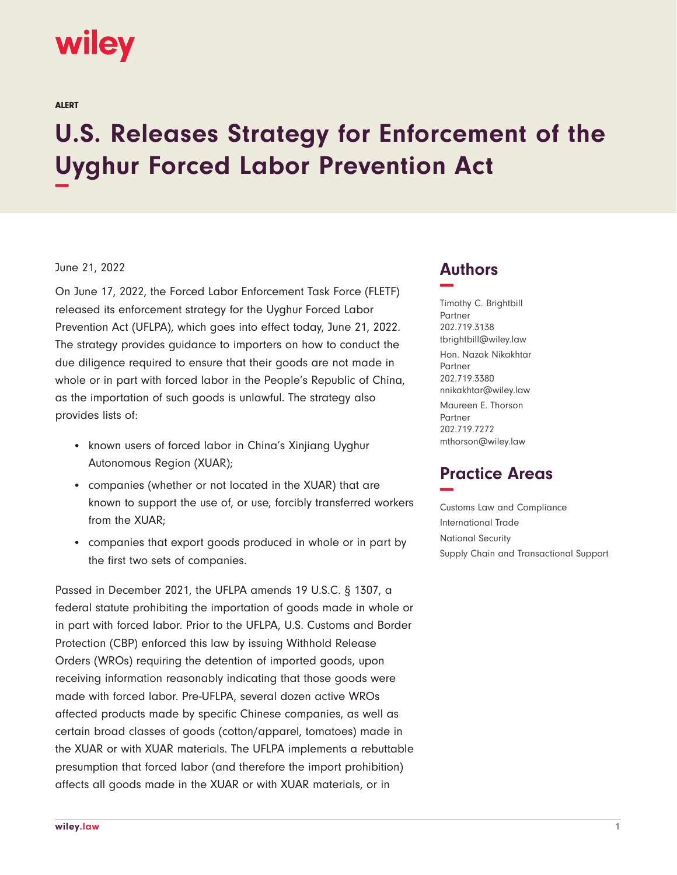# **wiley**

ALERT

# **U.S. Releases Strategy for Enforcement of the Uyghur Forced Labor Prevention Act −**

#### June 21, 2022

On June 17, 2022, the Forced Labor Enforcement Task Force (FLETF) released its enforcement strategy for the Uyghur Forced Labor Prevention Act (UFLPA), which goes into effect today, June 21, 2022. The strategy provides guidance to importers on how to conduct the due diligence required to ensure that their goods are not made in whole or in part with forced labor in the People's Republic of China, as the importation of such goods is unlawful. The strategy also provides lists of:

- known users of forced labor in China's Xinjiang Uyghur Autonomous Region (XUAR);
- companies (whether or not located in the XUAR) that are known to support the use of, or use, forcibly transferred workers from the XUAR;
- companies that export goods produced in whole or in part by the first two sets of companies.

Passed in December 2021, the UFLPA amends 19 U.S.C. § 1307, a federal statute prohibiting the importation of goods made in whole or in part with forced labor. Prior to the UFLPA, U.S. Customs and Border Protection (CBP) enforced this law by issuing Withhold Release Orders (WROs) requiring the detention of imported goods, upon receiving information reasonably indicating that those goods were made with forced labor. Pre-UFLPA, several dozen active WROs affected products made by specific Chinese companies, as well as certain broad classes of goods (cotton/apparel, tomatoes) made in the XUAR or with XUAR materials. The UFLPA implements a rebuttable presumption that forced labor (and therefore the import prohibition) affects all goods made in the XUAR or with XUAR materials, or in

### **Authors −**

Timothy C. Brightbill Partner 202.719.3138 tbrightbill@wiley.law Hon. Nazak Nikakhtar Partner 202.719.3380 nnikakhtar@wiley.law Maureen E. Thorson Partner 202.719.7272 mthorson@wiley.law

## **Practice Areas −**

Customs Law and Compliance International Trade National Security Supply Chain and Transactional Support